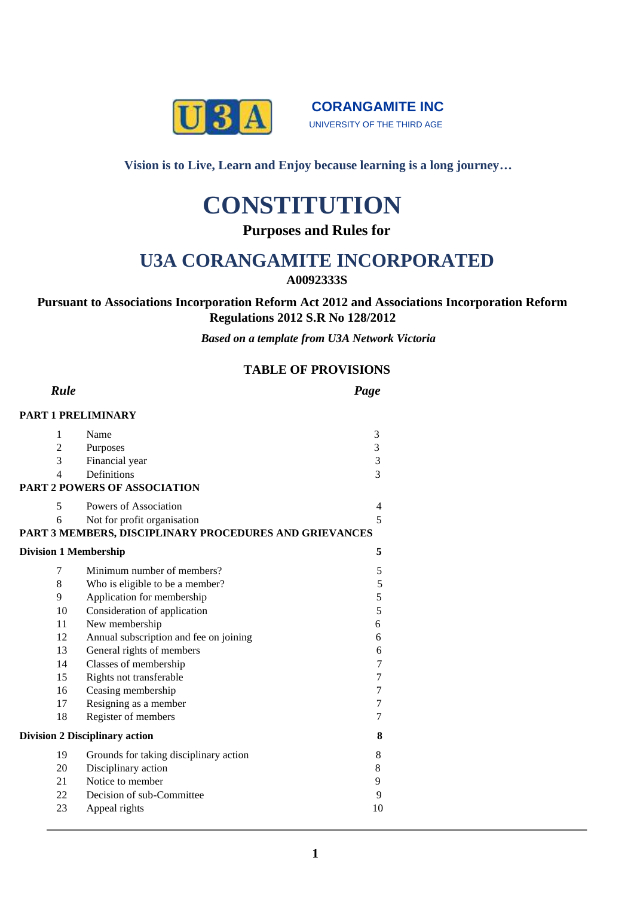

**CORANGAMITE INC** UNIVERSITY OF THE THIRD AGE

**Vision is to Live, Learn and Enjoy because learning is a long journey…**

# **CONSTITUTION**

**Purposes and Rules for** 

# **U3A CORANGAMITE INCORPORATED**

**A0092333S**

## **Pursuant to Associations Incorporation Reform Act 2012 and Associations Incorporation Reform Regulations 2012 S.R No 128/2012**

*Based on a template from U3A Network Victoria*

# **TABLE OF PROVISIONS**

| Rule                                  |                                                        | Page             |
|---------------------------------------|--------------------------------------------------------|------------------|
|                                       | PART 1 PRELIMINARY                                     |                  |
| 1                                     | Name                                                   | 3                |
| 2                                     | Purposes                                               | 3                |
| 3                                     | Financial year                                         | 3                |
| $\overline{\mathcal{L}}$              | Definitions                                            | $\overline{3}$   |
|                                       | <b>PART 2 POWERS OF ASSOCIATION</b>                    |                  |
| 5                                     | Powers of Association                                  | 4                |
| 6                                     | Not for profit organisation                            | 5                |
|                                       | PART 3 MEMBERS, DISCIPLINARY PROCEDURES AND GRIEVANCES |                  |
| <b>Division 1 Membership</b>          |                                                        | 5                |
| 7                                     | Minimum number of members?                             | 5                |
| 8                                     | Who is eligible to be a member?                        | 5                |
| 9                                     | Application for membership                             | 5                |
| 10                                    | Consideration of application                           | $\overline{5}$   |
| 11                                    | New membership                                         | 6                |
| 12                                    | Annual subscription and fee on joining                 | 6                |
| 13                                    | General rights of members                              | 6                |
| 14                                    | Classes of membership                                  | 7                |
| 15                                    | Rights not transferable                                | $\overline{7}$   |
| 16                                    | Ceasing membership                                     | $\boldsymbol{7}$ |
| 17                                    | Resigning as a member                                  | $\boldsymbol{7}$ |
| 18                                    | Register of members                                    | $\overline{7}$   |
| <b>Division 2 Disciplinary action</b> |                                                        | 8                |
| 19                                    | Grounds for taking disciplinary action                 | 8                |
| 20                                    | Disciplinary action                                    | 8                |
| 21                                    | Notice to member                                       | 9                |
| 22                                    | Decision of sub-Committee                              | 9                |
| 23                                    | Appeal rights                                          | 10               |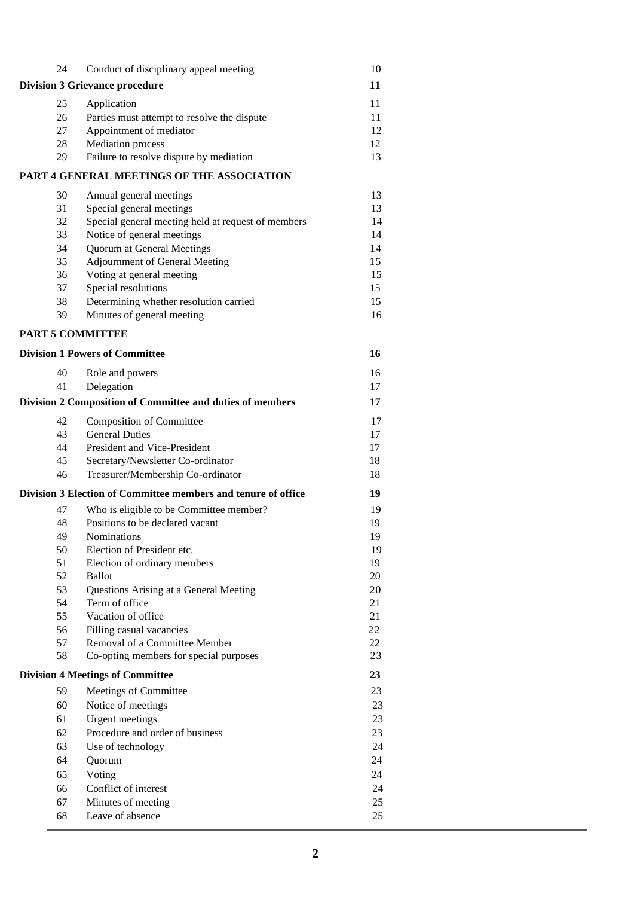| 24                                      | Conduct of disciplinary appeal meeting                        | 10       |
|-----------------------------------------|---------------------------------------------------------------|----------|
|                                         | <b>Division 3 Grievance procedure</b>                         | 11       |
| 25                                      | Application                                                   | 11       |
| 26                                      | Parties must attempt to resolve the dispute                   | 11       |
| 27                                      | Appointment of mediator                                       | 12       |
| 28                                      | Mediation process                                             | 12       |
| 29                                      | Failure to resolve dispute by mediation                       | 13       |
|                                         | PART 4 GENERAL MEETINGS OF THE ASSOCIATION                    |          |
| 30                                      | Annual general meetings                                       | 13       |
| 31                                      | Special general meetings                                      | 13       |
| 32                                      | Special general meeting held at request of members            | 14       |
| 33                                      | Notice of general meetings                                    | 14       |
| 34                                      | <b>Quorum at General Meetings</b>                             | 14       |
| 35                                      | Adjournment of General Meeting                                | 15       |
| 36                                      | Voting at general meeting                                     | 15       |
| 37                                      | Special resolutions                                           | 15       |
| 38<br>39                                | Determining whether resolution carried                        | 15<br>16 |
|                                         | Minutes of general meeting                                    |          |
|                                         | <b>PART 5 COMMITTEE</b>                                       |          |
|                                         | <b>Division 1 Powers of Committee</b>                         | 16       |
| 40                                      | Role and powers                                               | 16       |
| 41                                      | Delegation                                                    | 17       |
|                                         | Division 2 Composition of Committee and duties of members     | 17       |
| 42                                      | <b>Composition of Committee</b>                               | 17       |
| 43                                      | <b>General Duties</b>                                         | 17       |
| 44                                      | President and Vice-President                                  | 17       |
| 45                                      | Secretary/Newsletter Co-ordinator                             | 18       |
| 46                                      | Treasurer/Membership Co-ordinator                             | 18       |
|                                         | Division 3 Election of Committee members and tenure of office | 19       |
| 47                                      | Who is eligible to be Committee member?                       | 19       |
| 48                                      | Positions to be declared vacant                               | 19       |
| 49<br>50                                | <b>Nominations</b><br>Election of President etc.              | 19<br>19 |
| 51                                      | Election of ordinary members                                  | 19       |
| 52                                      | <b>Ballot</b>                                                 | 20       |
| 53                                      | Questions Arising at a General Meeting                        | 20       |
| 54                                      | Term of office                                                | 21       |
| 55                                      | Vacation of office                                            | 21       |
| 56                                      | Filling casual vacancies                                      | 22       |
| 57                                      | Removal of a Committee Member                                 | 22       |
| 58                                      | Co-opting members for special purposes                        | 23       |
| <b>Division 4 Meetings of Committee</b> |                                                               | 23       |
| 59                                      | Meetings of Committee                                         | 23       |
| 60                                      | Notice of meetings                                            | 23       |
| 61                                      | <b>Urgent</b> meetings                                        | 23       |
| 62                                      | Procedure and order of business                               | 23       |
| 63                                      | Use of technology                                             | 24       |
| 64                                      | Quorum                                                        | 24       |
| 65                                      | Voting                                                        | 24       |
| 66                                      | Conflict of interest                                          | 24       |
| 67                                      | Minutes of meeting                                            | 25       |
| 68                                      | Leave of absence                                              | 25       |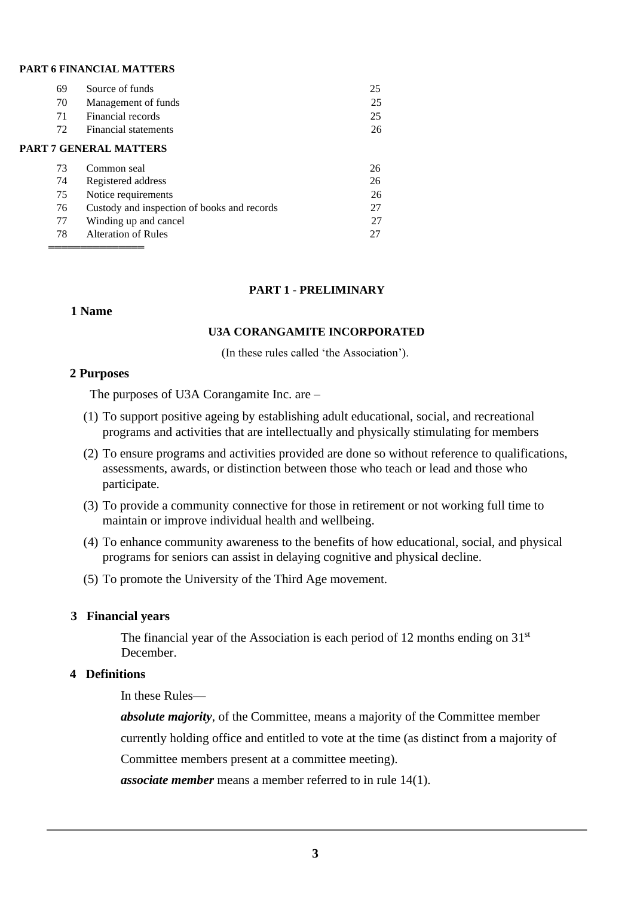#### **PART 6 FINANCIAL MATTERS**

| 69 | Source of funds                             | 25 |
|----|---------------------------------------------|----|
| 70 | Management of funds                         | 25 |
| 71 | Financial records                           | 25 |
| 72 | Financial statements                        | 26 |
|    | <b>PART 7 GENERAL MATTERS</b>               |    |
| 73 | Common seal                                 | 26 |
| 74 | Registered address                          | 26 |
| 75 | Notice requirements                         | 26 |
| 76 | Custody and inspection of books and records | 27 |
| 77 | Winding up and cancel                       | 27 |
| 78 | Alteration of Rules                         | 27 |
|    |                                             |    |

#### **PART 1 - PRELIMINARY**

#### **1 Name**

#### **U3A CORANGAMITE INCORPORATED**

(In these rules called 'the Association').

#### **2 Purposes**

The purposes of U3A Corangamite Inc. are –

- (1) To support positive ageing by establishing adult educational, social, and recreational programs and activities that are intellectually and physically stimulating for members
- (2) To ensure programs and activities provided are done so without reference to qualifications, assessments, awards, or distinction between those who teach or lead and those who participate.
- (3) To provide a community connective for those in retirement or not working full time to maintain or improve individual health and wellbeing.
- (4) To enhance community awareness to the benefits of how educational, social, and physical programs for seniors can assist in delaying cognitive and physical decline.
- (5) To promote the University of the Third Age movement.

#### **3 Financial years**

The financial year of the Association is each period of 12 months ending on 31<sup>st</sup> December.

#### **4 Definitions**

In these Rules—

*absolute majority*, of the Committee, means a majority of the Committee member currently holding office and entitled to vote at the time (as distinct from a majority of Committee members present at a committee meeting).

*associate member* means a member referred to in rule 14(1).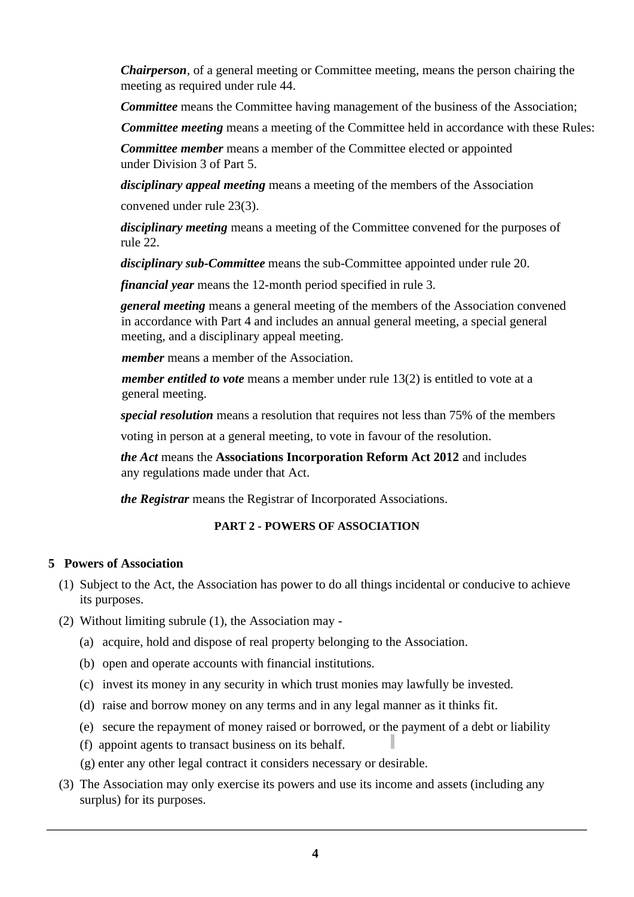*Chairperson*, of a general meeting or Committee meeting, means the person chairing the meeting as required under rule 44.

*Committee* means the Committee having management of the business of the Association;

*Committee meeting* means a meeting of the Committee held in accordance with these Rules:

*Committee member* means a member of the Committee elected or appointed under Division 3 of Part 5.

*disciplinary appeal meeting* means a meeting of the members of the Association

convened under rule 23(3).

*disciplinary meeting* means a meeting of the Committee convened for the purposes of rule 22.

*disciplinary sub-Committee* means the sub-Committee appointed under rule 20.

*financial year* means the 12-month period specified in rule 3.

*general meeting* means a general meeting of the members of the Association convened in accordance with Part 4 and includes an annual general meeting, a special general meeting, and a disciplinary appeal meeting.

 *member* means a member of the Association.

*member entitled to vote* means a member under rule 13(2) is entitled to vote at a general meeting.

*special resolution* means a resolution that requires not less than 75% of the members

voting in person at a general meeting, to vote in favour of the resolution.

*the Act* means the **Associations Incorporation Reform Act 2012** and includes any regulations made under that Act.

*the Registrar* means the Registrar of Incorporated Associations.

# **PART 2 - POWERS OF ASSOCIATION**

# **5 Powers of Association**

- (1) Subject to the Act, the Association has power to do all things incidental or conducive to achieve its purposes.
- (2) Without limiting subrule (1), the Association may
	- (a) acquire, hold and dispose of real property belonging to the Association.
	- (b) open and operate accounts with financial institutions.
	- (c) invest its money in any security in which trust monies may lawfully be invested.
	- (d) raise and borrow money on any terms and in any legal manner as it thinks fit.
	- (e) secure the repayment of money raised or borrowed, or the payment of a debt or liability
	- (f) appoint agents to transact business on its behalf.
	- (g) enter any other legal contract it considers necessary or desirable.
- (3) The Association may only exercise its powers and use its income and assets (including any surplus) for its purposes.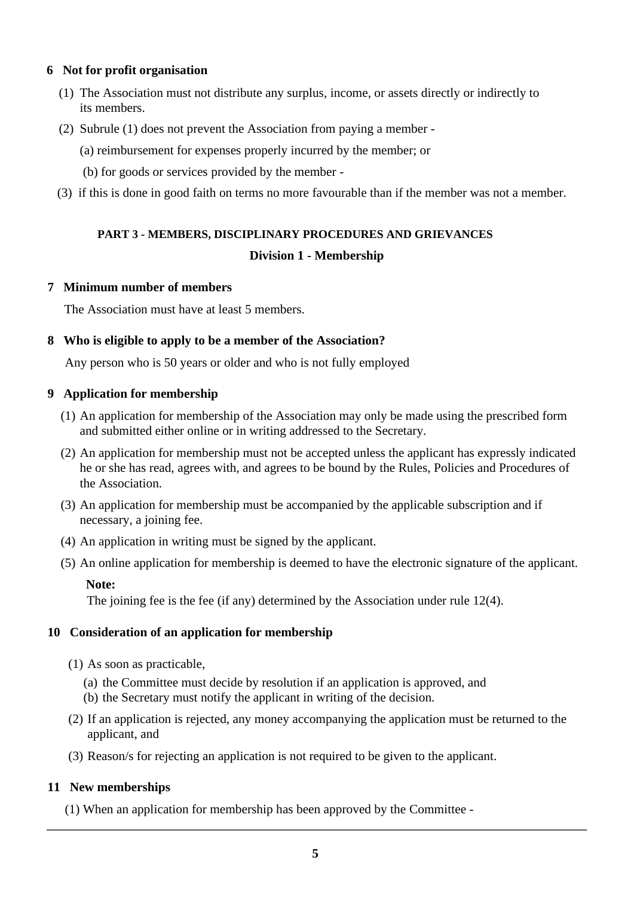# **6 Not for profit organisation**

- (1) The Association must not distribute any surplus, income, or assets directly or indirectly to its members.
- (2) Subrule (1) does not prevent the Association from paying a member
	- (a) reimbursement for expenses properly incurred by the member; or
	- (b) for goods or services provided by the member -
- (3) if this is done in good faith on terms no more favourable than if the member was not a member.

# **PART 3 - MEMBERS, DISCIPLINARY PROCEDURES AND GRIEVANCES Division 1 - Membership**

## **7 Minimum number of members**

The Association must have at least 5 members.

## **8 Who is eligible to apply to be a member of the Association?**

Any person who is 50 years or older and who is not fully employed

## **9 Application for membership**

- (1) An application for membership of the Association may only be made using the prescribed form and submitted either online or in writing addressed to the Secretary.
- (2) An application for membership must not be accepted unless the applicant has expressly indicated he or she has read, agrees with, and agrees to be bound by the Rules, Policies and Procedures of the Association.
- (3) An application for membership must be accompanied by the applicable subscription and if necessary, a joining fee.
- (4) An application in writing must be signed by the applicant.
- (5) An online application for membership is deemed to have the electronic signature of the applicant.

#### **Note:**

The joining fee is the fee (if any) determined by the Association under rule 12(4).

#### **10 Consideration of an application for membership**

- (1) As soon as practicable,
	- (a) the Committee must decide by resolution if an application is approved, and
	- (b) the Secretary must notify the applicant in writing of the decision.
- (2) If an application is rejected, any money accompanying the application must be returned to the applicant, and
- (3) Reason/s for rejecting an application is not required to be given to the applicant.

# **11 New memberships**

(1) When an application for membership has been approved by the Committee -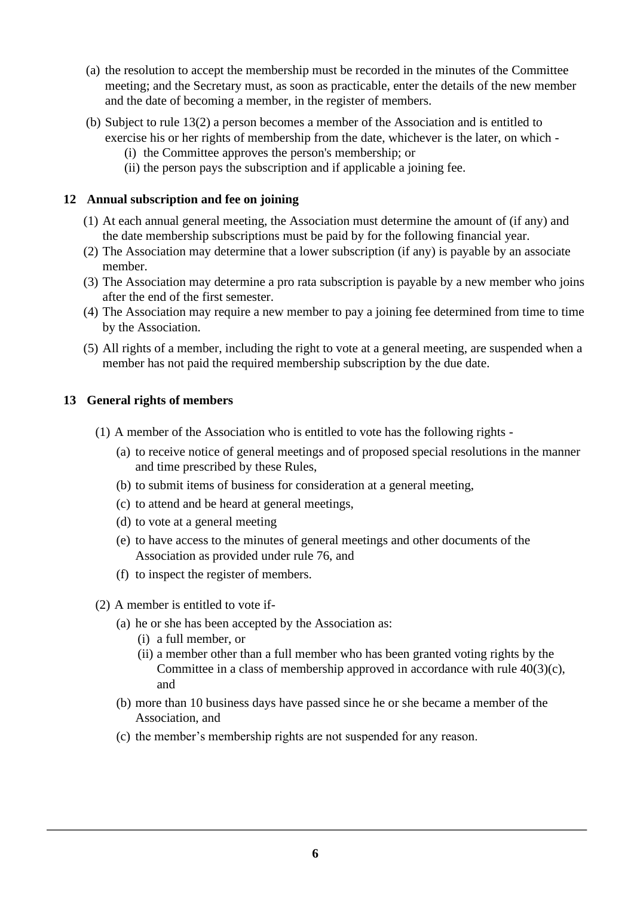- (a) the resolution to accept the membership must be recorded in the minutes of the Committee meeting; and the Secretary must, as soon as practicable, enter the details of the new member and the date of becoming a member, in the register of members.
- (b) Subject to rule 13(2) a person becomes a member of the Association and is entitled to exercise his or her rights of membership from the date, whichever is the later, on which -
	- (i) the Committee approves the person's membership; or
	- (ii) the person pays the subscription and if applicable a joining fee.

## **12 Annual subscription and fee on joining**

- (1) At each annual general meeting, the Association must determine the amount of (if any) and the date membership subscriptions must be paid by for the following financial year.
- (2) The Association may determine that a lower subscription (if any) is payable by an associate member.
- (3) The Association may determine a pro rata subscription is payable by a new member who joins after the end of the first semester.
- (4) The Association may require a new member to pay a joining fee determined from time to time by the Association.
- (5) All rights of a member, including the right to vote at a general meeting, are suspended when a member has not paid the required membership subscription by the due date.

# **13 General rights of members**

- (1) A member of the Association who is entitled to vote has the following rights
	- (a) to receive notice of general meetings and of proposed special resolutions in the manner and time prescribed by these Rules,
	- (b) to submit items of business for consideration at a general meeting,
	- (c) to attend and be heard at general meetings,
	- (d) to vote at a general meeting
	- (e) to have access to the minutes of general meetings and other documents of the Association as provided under rule 76, and
	- (f) to inspect the register of members.
- (2) A member is entitled to vote if-
	- (a) he or she has been accepted by the Association as:
		- (i) a full member, or
		- (ii) a member other than a full member who has been granted voting rights by the Committee in a class of membership approved in accordance with rule 40(3)(c), and
	- (b) more than 10 business days have passed since he or she became a member of the Association, and
	- (c) the member's membership rights are not suspended for any reason.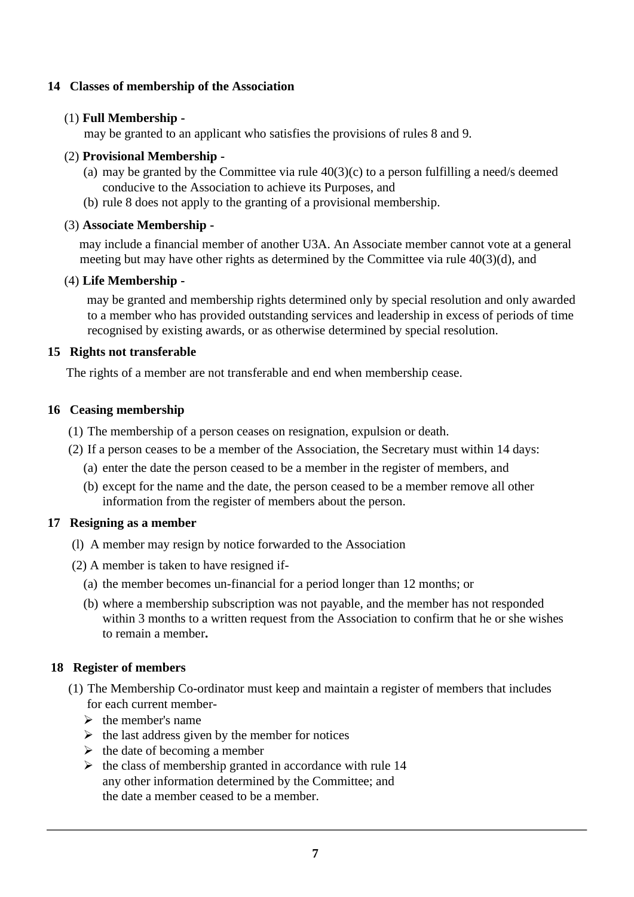# **14 Classes of membership of the Association**

# (1) **Full Membership -**

may be granted to an applicant who satisfies the provisions of rules 8 and 9.

# (2) **Provisional Membership -**

- (a) may be granted by the Committee via rule  $40(3)(c)$  to a person fulfilling a need/s deemed conducive to the Association to achieve its Purposes, and
- (b) rule 8 does not apply to the granting of a provisional membership.

# (3) **Associate Membership -**

may include a financial member of another U3A. An Associate member cannot vote at a general meeting but may have other rights as determined by the Committee via rule 40(3)(d), and

# (4) **Life Membership -**

may be granted and membership rights determined only by special resolution and only awarded to a member who has provided outstanding services and leadership in excess of periods of time recognised by existing awards, or as otherwise determined by special resolution.

# **15 Rights not transferable**

The rights of a member are not transferable and end when membership cease.

# **16 Ceasing membership**

- (1) The membership of a person ceases on resignation, expulsion or death.
- (2) If a person ceases to be a member of the Association, the Secretary must within 14 days:
	- (a) enter the date the person ceased to be a member in the register of members, and
	- (b) except for the name and the date, the person ceased to be a member remove all other information from the register of members about the person.

# **17 Resigning as a member**

- (l) A member may resign by notice forwarded to the Association
- (2) A member is taken to have resigned if-
	- (a) the member becomes un-financial for a period longer than 12 months; or
	- (b) where a membership subscription was not payable, and the member has not responded within 3 months to a written request from the Association to confirm that he or she wishes to remain a member**.**

# **18 Register of members**

- (1) The Membership Co-ordinator must keep and maintain a register of members that includes for each current member-
	- $\triangleright$  the member's name
	- $\triangleright$  the last address given by the member for notices
	- $\triangleright$  the date of becoming a member
	- $\triangleright$  the class of membership granted in accordance with rule 14 any other information determined by the Committee; and the date a member ceased to be a member.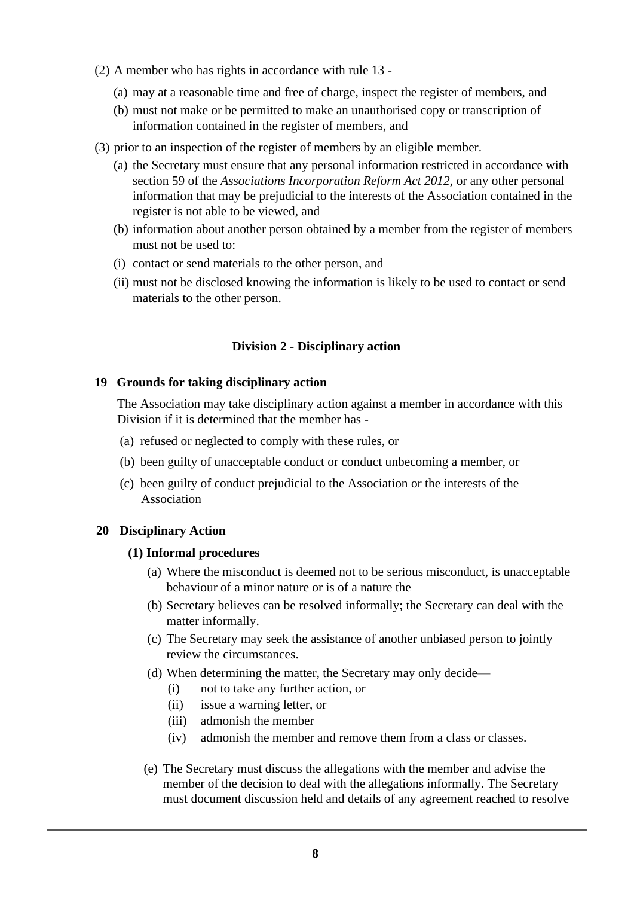- (2) A member who has rights in accordance with rule 13
	- (a) may at a reasonable time and free of charge, inspect the register of members, and
	- (b) must not make or be permitted to make an unauthorised copy or transcription of information contained in the register of members, and
- (3) prior to an inspection of the register of members by an eligible member.
	- (a) the Secretary must ensure that any personal information restricted in accordance with section 59 of the *Associations Incorporation Reform Act 2012*, or any other personal information that may be prejudicial to the interests of the Association contained in the register is not able to be viewed, and
	- (b) information about another person obtained by a member from the register of members must not be used to:
	- (i) contact or send materials to the other person, and
	- (ii) must not be disclosed knowing the information is likely to be used to contact or send materials to the other person.

#### **Division 2 - Disciplinary action**

#### **19 Grounds for taking disciplinary action**

The Association may take disciplinary action against a member in accordance with this Division if it is determined that the member has -

- (a) refused or neglected to comply with these rules, or
- (b) been guilty of unacceptable conduct or conduct unbecoming a member, or
- (c) been guilty of conduct prejudicial to the Association or the interests of the Association

#### **20 Disciplinary Action**

#### **(1) Informal procedures**

- (a) Where the misconduct is deemed not to be serious misconduct, is unacceptable behaviour of a minor nature or is of a nature the
- (b) Secretary believes can be resolved informally; the Secretary can deal with the matter informally.
- (c) The Secretary may seek the assistance of another unbiased person to jointly review the circumstances.
- (d) When determining the matter, the Secretary may only decide—
	- (i) not to take any further action, or
	- (ii) issue a warning letter, or
	- (iii) admonish the member
	- (iv) admonish the member and remove them from a class or classes.
- (e) The Secretary must discuss the allegations with the member and advise the member of the decision to deal with the allegations informally. The Secretary must document discussion held and details of any agreement reached to resolve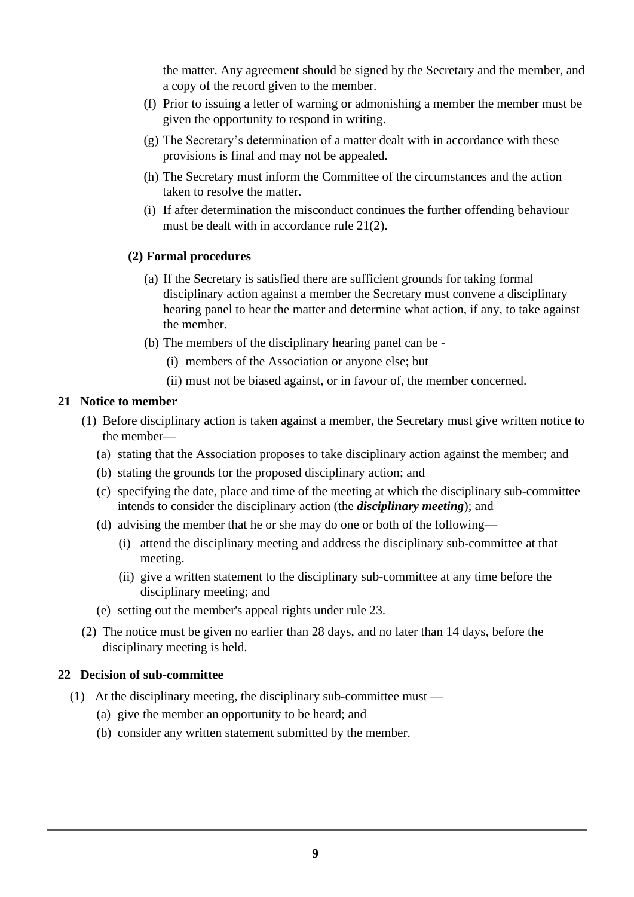the matter. Any agreement should be signed by the Secretary and the member, and a copy of the record given to the member.

- (f) Prior to issuing a letter of warning or admonishing a member the member must be given the opportunity to respond in writing.
- (g) The Secretary's determination of a matter dealt with in accordance with these provisions is final and may not be appealed.
- (h) The Secretary must inform the Committee of the circumstances and the action taken to resolve the matter.
- (i) If after determination the misconduct continues the further offending behaviour must be dealt with in accordance rule 21(2).

# **(2) Formal procedures**

- (a) If the Secretary is satisfied there are sufficient grounds for taking formal disciplinary action against a member the Secretary must convene a disciplinary hearing panel to hear the matter and determine what action, if any, to take against the member.
- (b) The members of the disciplinary hearing panel can be
	- (i) members of the Association or anyone else; but
	- (ii) must not be biased against, or in favour of, the member concerned.

## **21 Notice to member**

- (1) Before disciplinary action is taken against a member, the Secretary must give written notice to the member—
	- (a) stating that the Association proposes to take disciplinary action against the member; and
	- (b) stating the grounds for the proposed disciplinary action; and
	- (c) specifying the date, place and time of the meeting at which the disciplinary sub-committee intends to consider the disciplinary action (the *disciplinary meeting*); and
	- (d) advising the member that he or she may do one or both of the following—
		- (i) attend the disciplinary meeting and address the disciplinary sub-committee at that meeting.
		- (ii) give a written statement to the disciplinary sub-committee at any time before the disciplinary meeting; and
	- (e) setting out the member's appeal rights under rule 23.
- (2) The notice must be given no earlier than 28 days, and no later than 14 days, before the disciplinary meeting is held.

# **22 Decision of sub-committee**

- (1) At the disciplinary meeting, the disciplinary sub-committee must
	- (a) give the member an opportunity to be heard; and
	- (b) consider any written statement submitted by the member.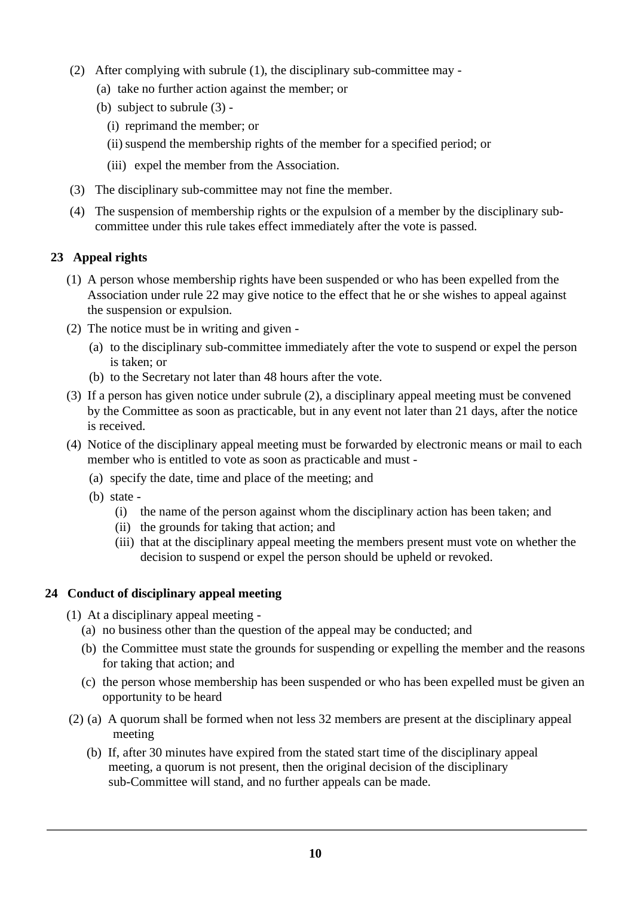- (2) After complying with subrule (1), the disciplinary sub-committee may
	- (a) take no further action against the member; or
	- (b) subject to subrule (3)
		- (i) reprimand the member; or
		- (ii)suspend the membership rights of the member for a specified period; or
		- (iii) expel the member from the Association.
- (3) The disciplinary sub-committee may not fine the member.
- (4) The suspension of membership rights or the expulsion of a member by the disciplinary subcommittee under this rule takes effect immediately after the vote is passed.

# **23 Appeal rights**

- (1) A person whose membership rights have been suspended or who has been expelled from the Association under rule 22 may give notice to the effect that he or she wishes to appeal against the suspension or expulsion.
- (2) The notice must be in writing and given
	- (a) to the disciplinary sub-committee immediately after the vote to suspend or expel the person is taken; or
	- (b) to the Secretary not later than 48 hours after the vote.
- (3) If a person has given notice under subrule (2), a disciplinary appeal meeting must be convened by the Committee as soon as practicable, but in any event not later than 21 days, after the notice is received.
- (4) Notice of the disciplinary appeal meeting must be forwarded by electronic means or mail to each member who is entitled to vote as soon as practicable and must -
	- (a) specify the date, time and place of the meeting; and
	- (b) state
		- (i) the name of the person against whom the disciplinary action has been taken; and
		- (ii) the grounds for taking that action; and
		- (iii) that at the disciplinary appeal meeting the members present must vote on whether the decision to suspend or expel the person should be upheld or revoked.

# **24 Conduct of disciplinary appeal meeting**

- (1) At a disciplinary appeal meeting
	- (a) no business other than the question of the appeal may be conducted; and
	- (b) the Committee must state the grounds for suspending or expelling the member and the reasons for taking that action; and
	- (c) the person whose membership has been suspended or who has been expelled must be given an opportunity to be heard
- (2) (a) A quorum shall be formed when not less 32 members are present at the disciplinary appeal meeting
	- (b) If, after 30 minutes have expired from the stated start time of the disciplinary appeal meeting, a quorum is not present, then the original decision of the disciplinary sub-Committee will stand, and no further appeals can be made.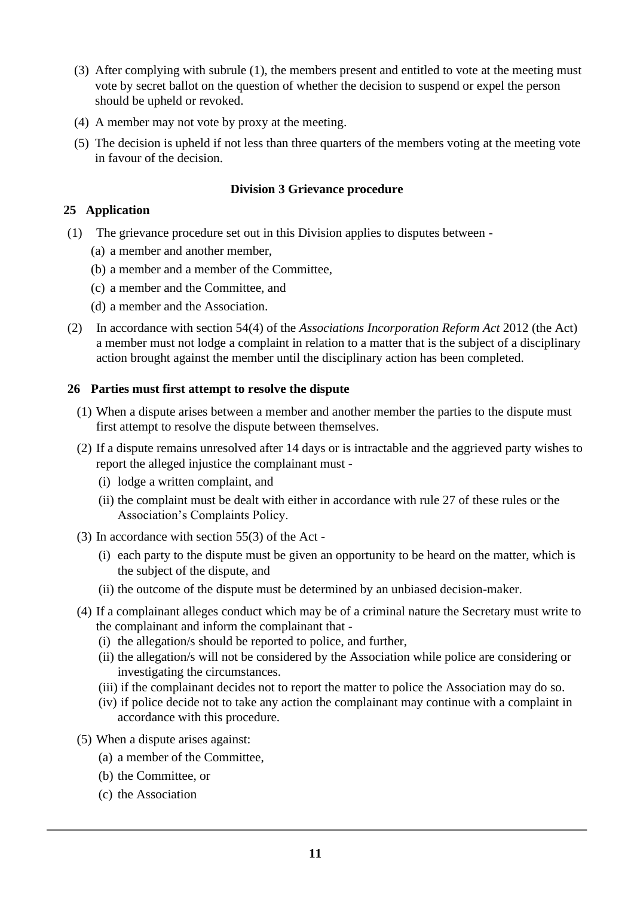- (3) After complying with subrule (1), the members present and entitled to vote at the meeting must vote by secret ballot on the question of whether the decision to suspend or expel the person should be upheld or revoked.
- (4) A member may not vote by proxy at the meeting.
- (5) The decision is upheld if not less than three quarters of the members voting at the meeting vote in favour of the decision.

## **Division 3 Grievance procedure**

## **25 Application**

- (1) The grievance procedure set out in this Division applies to disputes between
	- (a) a member and another member,
	- (b) a member and a member of the Committee,
	- (c) a member and the Committee, and
	- (d) a member and the Association.
- (2) In accordance with section 54(4) of the *Associations Incorporation Reform Act* 2012 (the Act) a member must not lodge a complaint in relation to a matter that is the subject of a disciplinary action brought against the member until the disciplinary action has been completed.

#### **26 Parties must first attempt to resolve the dispute**

- (1) When a dispute arises between a member and another member the parties to the dispute must first attempt to resolve the dispute between themselves.
- (2) If a dispute remains unresolved after 14 days or is intractable and the aggrieved party wishes to report the alleged injustice the complainant must -
	- (i) lodge a written complaint, and
	- (ii) the complaint must be dealt with either in accordance with rule 27 of these rules or the Association's Complaints Policy.
- (3) In accordance with section 55(3) of the Act
	- (i) each party to the dispute must be given an opportunity to be heard on the matter, which is the subject of the dispute, and
	- (ii) the outcome of the dispute must be determined by an unbiased decision-maker.
- (4) If a complainant alleges conduct which may be of a criminal nature the Secretary must write to the complainant and inform the complainant that -
	- (i) the allegation/s should be reported to police, and further,
	- (ii) the allegation/s will not be considered by the Association while police are considering or investigating the circumstances.
	- (iii) if the complainant decides not to report the matter to police the Association may do so.
	- (iv) if police decide not to take any action the complainant may continue with a complaint in accordance with this procedure.
- (5) When a dispute arises against:
	- (a) a member of the Committee,
	- (b) the Committee, or
	- (c) the Association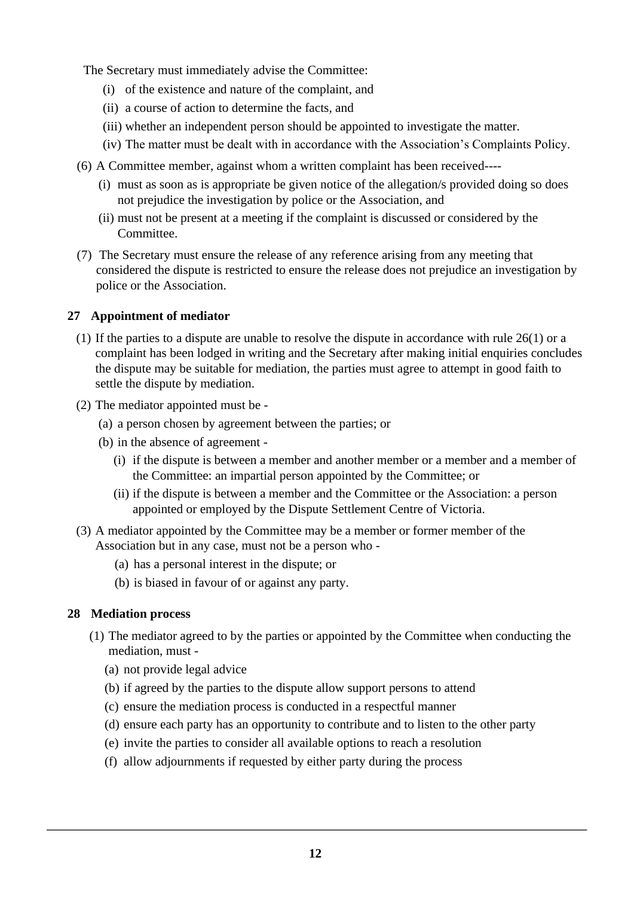The Secretary must immediately advise the Committee:

- (i) of the existence and nature of the complaint, and
- (ii) a course of action to determine the facts, and
- (iii) whether an independent person should be appointed to investigate the matter.
- (iv) The matter must be dealt with in accordance with the Association's Complaints Policy.
- (6) A Committee member, against whom a written complaint has been received----
	- (i) must as soon as is appropriate be given notice of the allegation/s provided doing so does not prejudice the investigation by police or the Association, and
	- (ii) must not be present at a meeting if the complaint is discussed or considered by the Committee.
- (7) The Secretary must ensure the release of any reference arising from any meeting that considered the dispute is restricted to ensure the release does not prejudice an investigation by police or the Association.

# **27 Appointment of mediator**

- (1) If the parties to a dispute are unable to resolve the dispute in accordance with rule 26(1) or a complaint has been lodged in writing and the Secretary after making initial enquiries concludes the dispute may be suitable for mediation, the parties must agree to attempt in good faith to settle the dispute by mediation.
- (2) The mediator appointed must be
	- (a) a person chosen by agreement between the parties; or
	- (b) in the absence of agreement
		- (i) if the dispute is between a member and another member or a member and a member of the Committee: an impartial person appointed by the Committee; or
		- (ii) if the dispute is between a member and the Committee or the Association: a person appointed or employed by the Dispute Settlement Centre of Victoria.
- (3) A mediator appointed by the Committee may be a member or former member of the Association but in any case, must not be a person who -
	- (a) has a personal interest in the dispute; or
	- (b) is biased in favour of or against any party.

# **28 Mediation process**

- (1) The mediator agreed to by the parties or appointed by the Committee when conducting the mediation, must -
	- (a) not provide legal advice
	- (b) if agreed by the parties to the dispute allow support persons to attend
	- (c) ensure the mediation process is conducted in a respectful manner
	- (d) ensure each party has an opportunity to contribute and to listen to the other party
	- (e) invite the parties to consider all available options to reach a resolution
	- (f) allow adjournments if requested by either party during the process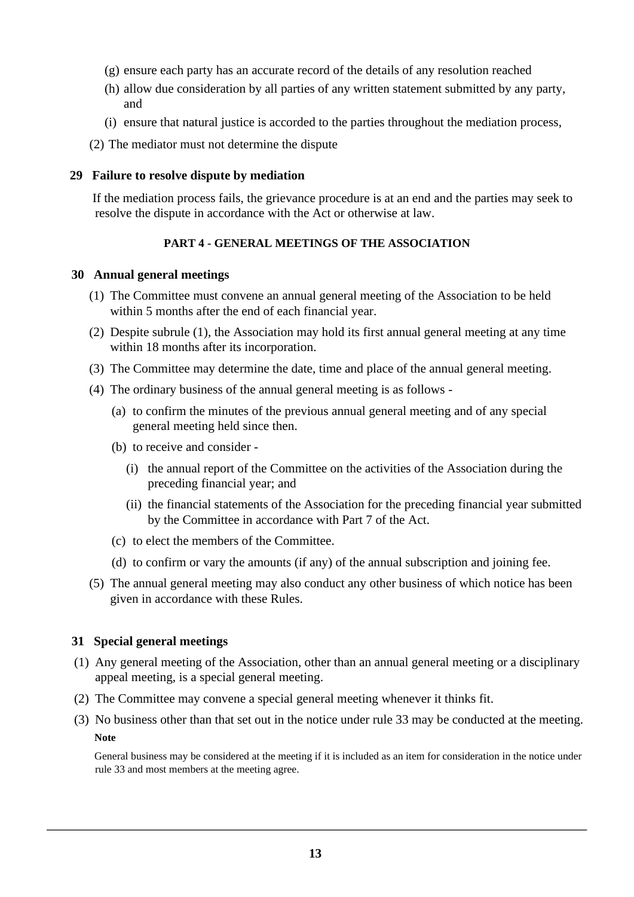- (g) ensure each party has an accurate record of the details of any resolution reached
- (h) allow due consideration by all parties of any written statement submitted by any party, and
- (i) ensure that natural justice is accorded to the parties throughout the mediation process,

(2) The mediator must not determine the dispute

#### **29 Failure to resolve dispute by mediation**

 If the mediation process fails, the grievance procedure is at an end and the parties may seek to resolve the dispute in accordance with the Act or otherwise at law.

#### **PART 4 - GENERAL MEETINGS OF THE ASSOCIATION**

#### **30 Annual general meetings**

- (1) The Committee must convene an annual general meeting of the Association to be held within 5 months after the end of each financial year.
- (2) Despite subrule (1), the Association may hold its first annual general meeting at any time within 18 months after its incorporation.
- (3) The Committee may determine the date, time and place of the annual general meeting.
- (4) The ordinary business of the annual general meeting is as follows
	- (a) to confirm the minutes of the previous annual general meeting and of any special general meeting held since then.
	- (b) to receive and consider
		- (i) the annual report of the Committee on the activities of the Association during the preceding financial year; and
		- (ii) the financial statements of the Association for the preceding financial year submitted by the Committee in accordance with Part 7 of the Act.
	- (c) to elect the members of the Committee.
	- (d) to confirm or vary the amounts (if any) of the annual subscription and joining fee.
- (5) The annual general meeting may also conduct any other business of which notice has been given in accordance with these Rules.

#### **31 Special general meetings**

- (1) Any general meeting of the Association, other than an annual general meeting or a disciplinary appeal meeting, is a special general meeting.
- (2) The Committee may convene a special general meeting whenever it thinks fit.
- (3) No business other than that set out in the notice under rule 33 may be conducted at the meeting. **Note**

General business may be considered at the meeting if it is included as an item for consideration in the notice under rule 33 and most members at the meeting agree.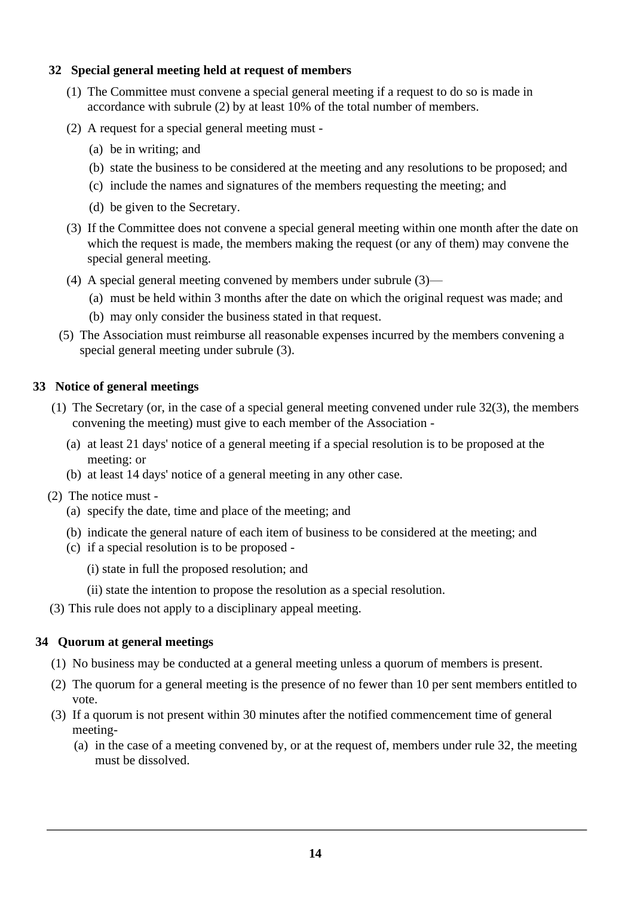# **32 Special general meeting held at request of members**

- (1) The Committee must convene a special general meeting if a request to do so is made in accordance with subrule (2) by at least 10% of the total number of members.
- (2) A request for a special general meeting must
	- (a) be in writing; and
	- (b) state the business to be considered at the meeting and any resolutions to be proposed; and
	- (c) include the names and signatures of the members requesting the meeting; and
	- (d) be given to the Secretary.
- (3) If the Committee does not convene a special general meeting within one month after the date on which the request is made, the members making the request (or any of them) may convene the special general meeting.
- (4) A special general meeting convened by members under subrule (3)—
	- (a) must be held within 3 months after the date on which the original request was made; and
	- (b) may only consider the business stated in that request.
- (5) The Association must reimburse all reasonable expenses incurred by the members convening a special general meeting under subrule (3).

## **33 Notice of general meetings**

- (1) The Secretary (or, in the case of a special general meeting convened under rule 32(3), the members convening the meeting) must give to each member of the Association -
	- (a) at least 21 days' notice of a general meeting if a special resolution is to be proposed at the meeting: or
	- (b) at least 14 days' notice of a general meeting in any other case.
- (2) The notice must
	- (a) specify the date, time and place of the meeting; and
	- (b) indicate the general nature of each item of business to be considered at the meeting; and
	- (c) if a special resolution is to be proposed
		- (i) state in full the proposed resolution; and
		- (ii) state the intention to propose the resolution as a special resolution.
- (3) This rule does not apply to a disciplinary appeal meeting.

# **34 Quorum at general meetings**

- (1) No business may be conducted at a general meeting unless a quorum of members is present.
- (2) The quorum for a general meeting is the presence of no fewer than 10 per sent members entitled to vote.
- (3) If a quorum is not present within 30 minutes after the notified commencement time of general meeting-
	- (a) in the case of a meeting convened by, or at the request of, members under rule 32, the meeting must be dissolved.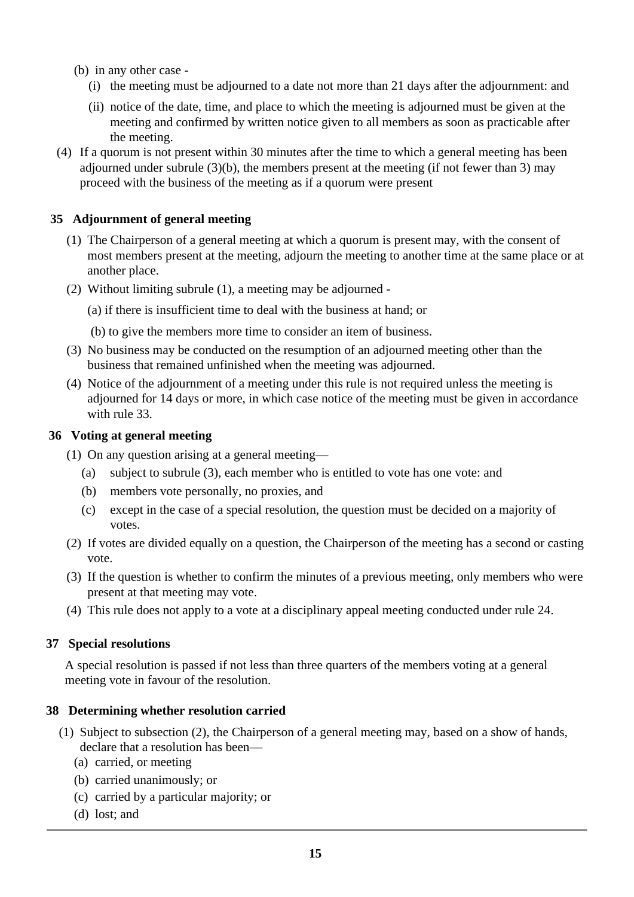- (b) in any other case
	- (i) the meeting must be adjourned to a date not more than 21 days after the adjournment: and
	- (ii) notice of the date, time, and place to which the meeting is adjourned must be given at the meeting and confirmed by written notice given to all members as soon as practicable after the meeting.
- (4) If a quorum is not present within 30 minutes after the time to which a general meeting has been adjourned under subrule (3)(b), the members present at the meeting (if not fewer than 3) may proceed with the business of the meeting as if a quorum were present

## **35 Adjournment of general meeting**

- (1) The Chairperson of a general meeting at which a quorum is present may, with the consent of most members present at the meeting, adjourn the meeting to another time at the same place or at another place.
- (2) Without limiting subrule (1), a meeting may be adjourned
	- (a) if there is insufficient time to deal with the business at hand; or
	- (b) to give the members more time to consider an item of business.
- (3) No business may be conducted on the resumption of an adjourned meeting other than the business that remained unfinished when the meeting was adjourned.
- (4) Notice of the adjournment of a meeting under this rule is not required unless the meeting is adjourned for 14 days or more, in which case notice of the meeting must be given in accordance with rule 33.

#### **36 Voting at general meeting**

- (1) On any question arising at a general meeting—
	- (a) subject to subrule (3), each member who is entitled to vote has one vote: and
	- (b) members vote personally, no proxies, and
	- (c) except in the case of a special resolution, the question must be decided on a majority of votes.
- (2) If votes are divided equally on a question, the Chairperson of the meeting has a second or casting vote.
- (3) If the question is whether to confirm the minutes of a previous meeting, only members who were present at that meeting may vote.
- (4) This rule does not apply to a vote at a disciplinary appeal meeting conducted under rule 24.

# **37 Special resolutions**

A special resolution is passed if not less than three quarters of the members voting at a general meeting vote in favour of the resolution.

# **38 Determining whether resolution carried**

- (1) Subject to subsection (2), the Chairperson of a general meeting may, based on a show of hands, declare that a resolution has been—
	- (a) carried, or meeting
	- (b) carried unanimously; or
	- (c) carried by a particular majority; or
	- (d) lost; and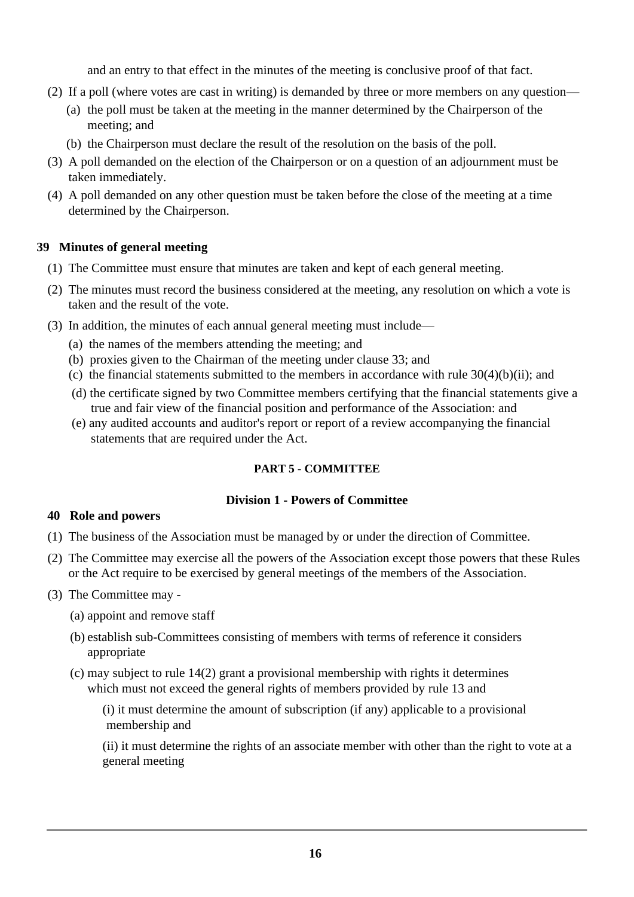and an entry to that effect in the minutes of the meeting is conclusive proof of that fact.

- (2) If a poll (where votes are cast in writing) is demanded by three or more members on any question—
	- (a) the poll must be taken at the meeting in the manner determined by the Chairperson of the meeting; and
	- (b) the Chairperson must declare the result of the resolution on the basis of the poll.
- (3) A poll demanded on the election of the Chairperson or on a question of an adjournment must be taken immediately.
- (4) A poll demanded on any other question must be taken before the close of the meeting at a time determined by the Chairperson.

# **39 Minutes of general meeting**

- (1) The Committee must ensure that minutes are taken and kept of each general meeting.
- (2) The minutes must record the business considered at the meeting, any resolution on which a vote is taken and the result of the vote.
- (3) In addition, the minutes of each annual general meeting must include—
	- (a) the names of the members attending the meeting; and
	- (b) proxies given to the Chairman of the meeting under clause 33; and
	- (c) the financial statements submitted to the members in accordance with rule  $30(4)(b)(ii)$ ; and
	- (d) the certificate signed by two Committee members certifying that the financial statements give a true and fair view of the financial position and performance of the Association: and
	- (e) any audited accounts and auditor's report or report of a review accompanying the financial statements that are required under the Act.

# **PART 5 - COMMITTEE**

# **Division 1 - Powers of Committee**

# **40 Role and powers**

- (1) The business of the Association must be managed by or under the direction of Committee.
- (2) The Committee may exercise all the powers of the Association except those powers that these Rules or the Act require to be exercised by general meetings of the members of the Association.
- (3) The Committee may
	- (a) appoint and remove staff
	- (b) establish sub-Committees consisting of members with terms of reference it considers appropriate
	- (c) may subject to rule 14(2) grant a provisional membership with rights it determines which must not exceed the general rights of members provided by rule 13 and

 (i) it must determine the amount of subscription (if any) applicable to a provisional membership and

(ii) it must determine the rights of an associate member with other than the right to vote at a general meeting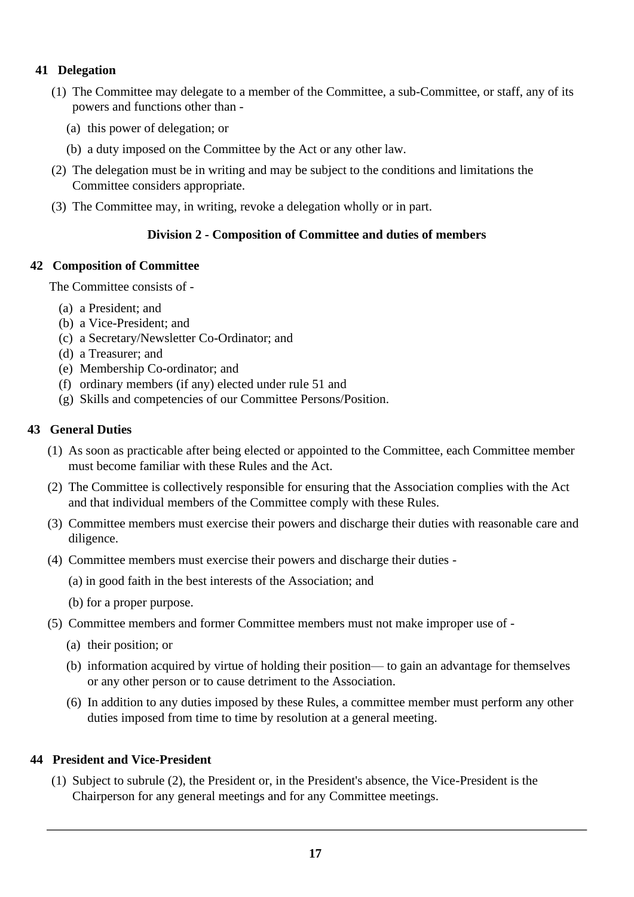# **41 Delegation**

- (1) The Committee may delegate to a member of the Committee, a sub-Committee, or staff, any of its powers and functions other than -
	- (a) this power of delegation; or
	- (b) a duty imposed on the Committee by the Act or any other law.
- (2) The delegation must be in writing and may be subject to the conditions and limitations the Committee considers appropriate.
- (3) The Committee may, in writing, revoke a delegation wholly or in part.

# **Division 2 - Composition of Committee and duties of members**

#### **42 Composition of Committee**

The Committee consists of -

- (a) a President; and
- (b) a Vice-President; and
- (c) a Secretary/Newsletter Co-Ordinator; and
- (d) a Treasurer; and
- (e) Membership Co-ordinator; and
- (f) ordinary members (if any) elected under rule 51 and
- (g) Skills and competencies of our Committee Persons/Position.

## **43 General Duties**

- (1) As soon as practicable after being elected or appointed to the Committee, each Committee member must become familiar with these Rules and the Act.
- (2) The Committee is collectively responsible for ensuring that the Association complies with the Act and that individual members of the Committee comply with these Rules.
- (3) Committee members must exercise their powers and discharge their duties with reasonable care and diligence.
- (4) Committee members must exercise their powers and discharge their duties
	- (a) in good faith in the best interests of the Association; and
	- (b) for a proper purpose.
- (5) Committee members and former Committee members must not make improper use of
	- (a) their position; or
	- (b) information acquired by virtue of holding their position— to gain an advantage for themselves or any other person or to cause detriment to the Association.
	- (6) In addition to any duties imposed by these Rules, a committee member must perform any other duties imposed from time to time by resolution at a general meeting.

# **44 President and Vice-President**

(1) Subject to subrule (2), the President or, in the President's absence, the Vice-President is the Chairperson for any general meetings and for any Committee meetings.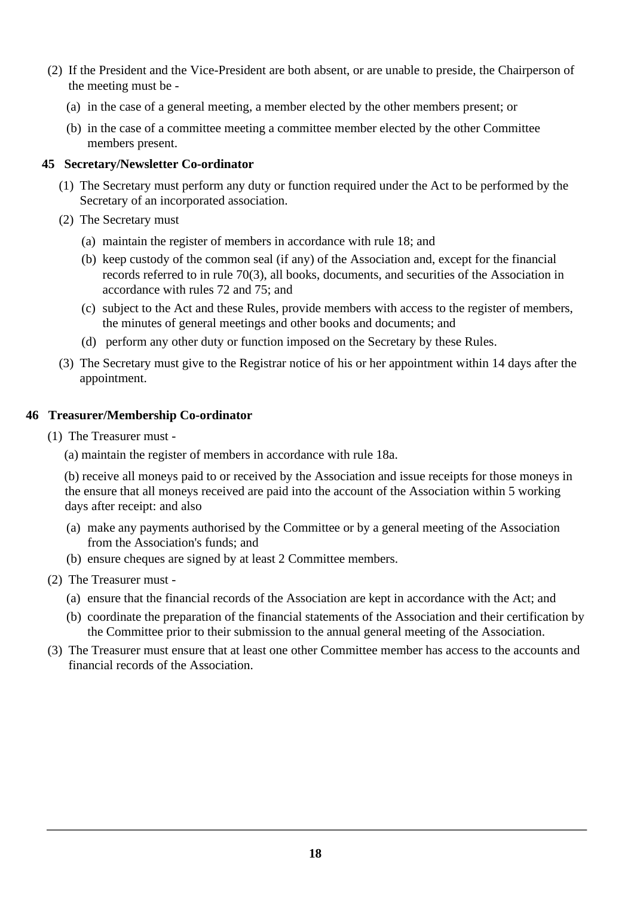- (2) If the President and the Vice-President are both absent, or are unable to preside, the Chairperson of the meeting must be -
	- (a) in the case of a general meeting, a member elected by the other members present; or
	- (b) in the case of a committee meeting a committee member elected by the other Committee members present.

## **45 Secretary/Newsletter Co-ordinator**

- (1) The Secretary must perform any duty or function required under the Act to be performed by the Secretary of an incorporated association.
- (2) The Secretary must
	- (a) maintain the register of members in accordance with rule 18; and
	- (b) keep custody of the common seal (if any) of the Association and, except for the financial records referred to in rule 70(3), all books, documents, and securities of the Association in accordance with rules 72 and 75; and
	- (c) subject to the Act and these Rules, provide members with access to the register of members, the minutes of general meetings and other books and documents; and
	- (d) perform any other duty or function imposed on the Secretary by these Rules.
- (3) The Secretary must give to the Registrar notice of his or her appointment within 14 days after the appointment.

## **46 Treasurer/Membership Co-ordinator**

- (1) The Treasurer must
	- (a) maintain the register of members in accordance with rule 18a.

(b) receive all moneys paid to or received by the Association and issue receipts for those moneys in the ensure that all moneys received are paid into the account of the Association within 5 working days after receipt: and also

- (a) make any payments authorised by the Committee or by a general meeting of the Association from the Association's funds; and
- (b) ensure cheques are signed by at least 2 Committee members.
- (2) The Treasurer must
	- (a) ensure that the financial records of the Association are kept in accordance with the Act; and
	- (b) coordinate the preparation of the financial statements of the Association and their certification by the Committee prior to their submission to the annual general meeting of the Association.
- (3) The Treasurer must ensure that at least one other Committee member has access to the accounts and financial records of the Association.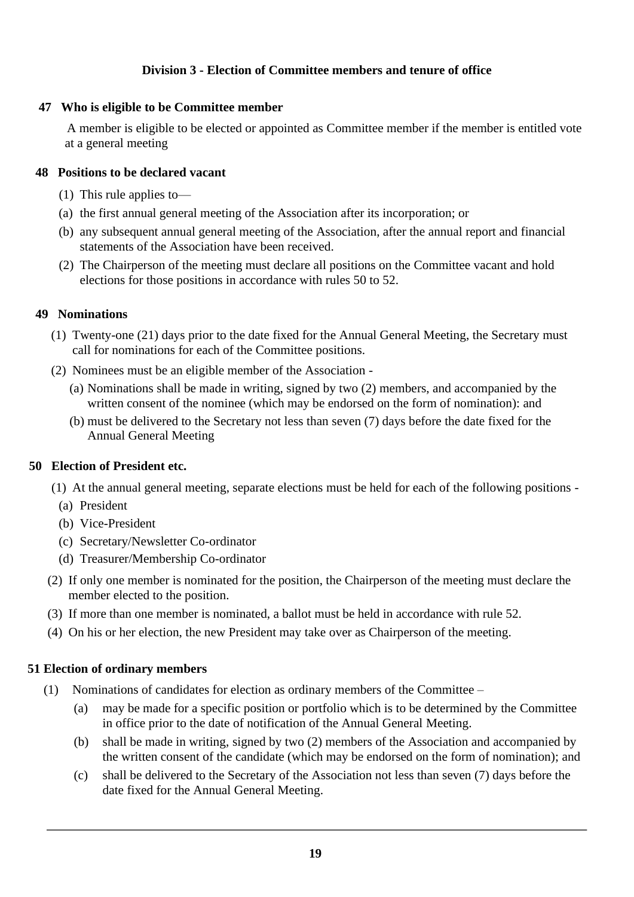# **Division 3 - Election of Committee members and tenure of office**

## **47 Who is eligible to be Committee member**

A member is eligible to be elected or appointed as Committee member if the member is entitled vote at a general meeting

## **48 Positions to be declared vacant**

- (1) This rule applies to—
- (a) the first annual general meeting of the Association after its incorporation; or
- (b) any subsequent annual general meeting of the Association, after the annual report and financial statements of the Association have been received.
- (2) The Chairperson of the meeting must declare all positions on the Committee vacant and hold elections for those positions in accordance with rules 50 to 52.

## **49 Nominations**

- (1) Twenty-one (21) days prior to the date fixed for the Annual General Meeting, the Secretary must call for nominations for each of the Committee positions.
- (2) Nominees must be an eligible member of the Association
	- (a) Nominations shall be made in writing, signed by two (2) members, and accompanied by the written consent of the nominee (which may be endorsed on the form of nomination): and
	- (b) must be delivered to the Secretary not less than seven (7) days before the date fixed for the Annual General Meeting

# **50 Election of President etc.**

- (1) At the annual general meeting, separate elections must be held for each of the following positions
	- (a) President
	- (b) Vice-President
	- (c) Secretary/Newsletter Co-ordinator
	- (d) Treasurer/Membership Co-ordinator
- (2) If only one member is nominated for the position, the Chairperson of the meeting must declare the member elected to the position.
- (3) If more than one member is nominated, a ballot must be held in accordance with rule 52.
- (4) On his or her election, the new President may take over as Chairperson of the meeting.

# **51 Election of ordinary members**

- (1) Nominations of candidates for election as ordinary members of the Committee
	- (a) may be made for a specific position or portfolio which is to be determined by the Committee in office prior to the date of notification of the Annual General Meeting.
	- (b) shall be made in writing, signed by two (2) members of the Association and accompanied by the written consent of the candidate (which may be endorsed on the form of nomination); and
	- (c) shall be delivered to the Secretary of the Association not less than seven (7) days before the date fixed for the Annual General Meeting.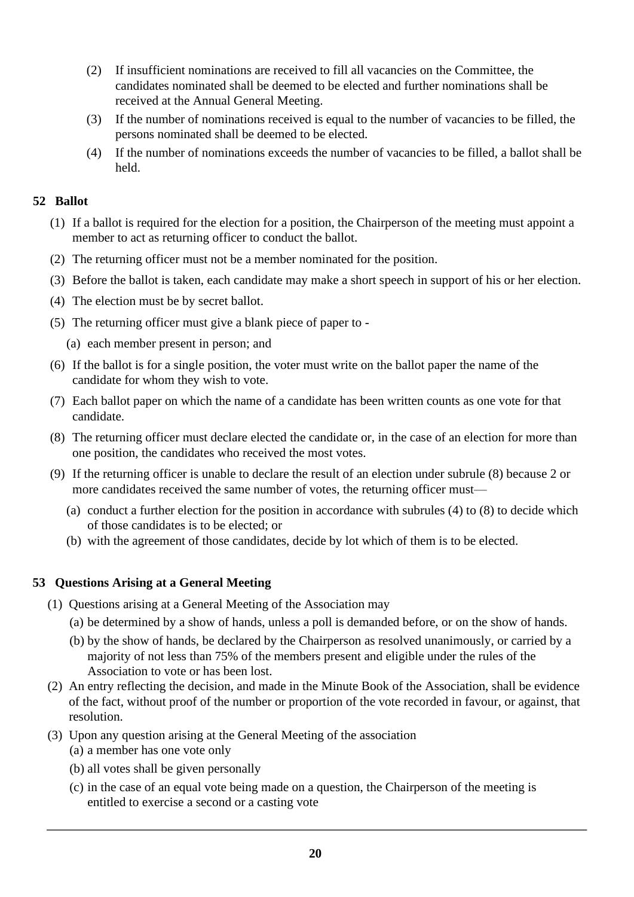- (2) If insufficient nominations are received to fill all vacancies on the Committee, the candidates nominated shall be deemed to be elected and further nominations shall be received at the Annual General Meeting.
- (3) If the number of nominations received is equal to the number of vacancies to be filled, the persons nominated shall be deemed to be elected.
- (4) If the number of nominations exceeds the number of vacancies to be filled, a ballot shall be held.

# **52 Ballot**

- (1) If a ballot is required for the election for a position, the Chairperson of the meeting must appoint a member to act as returning officer to conduct the ballot.
- (2) The returning officer must not be a member nominated for the position.
- (3) Before the ballot is taken, each candidate may make a short speech in support of his or her election.
- (4) The election must be by secret ballot.
- (5) The returning officer must give a blank piece of paper to
	- (a) each member present in person; and
- (6) If the ballot is for a single position, the voter must write on the ballot paper the name of the candidate for whom they wish to vote.
- (7) Each ballot paper on which the name of a candidate has been written counts as one vote for that candidate.
- (8) The returning officer must declare elected the candidate or, in the case of an election for more than one position, the candidates who received the most votes.
- (9) If the returning officer is unable to declare the result of an election under subrule (8) because 2 or more candidates received the same number of votes, the returning officer must—
	- (a) conduct a further election for the position in accordance with subrules (4) to (8) to decide which of those candidates is to be elected; or
	- (b) with the agreement of those candidates, decide by lot which of them is to be elected.

# **53 Questions Arising at a General Meeting**

- (1) Questions arising at a General Meeting of the Association may
	- (a) be determined by a show of hands, unless a poll is demanded before, or on the show of hands.
	- (b) by the show of hands, be declared by the Chairperson as resolved unanimously, or carried by a majority of not less than 75% of the members present and eligible under the rules of the Association to vote or has been lost.
- (2) An entry reflecting the decision, and made in the Minute Book of the Association, shall be evidence of the fact, without proof of the number or proportion of the vote recorded in favour, or against, that resolution.
- (3) Upon any question arising at the General Meeting of the association
	- (a) a member has one vote only
	- (b) all votes shall be given personally
	- (c) in the case of an equal vote being made on a question, the Chairperson of the meeting is entitled to exercise a second or a casting vote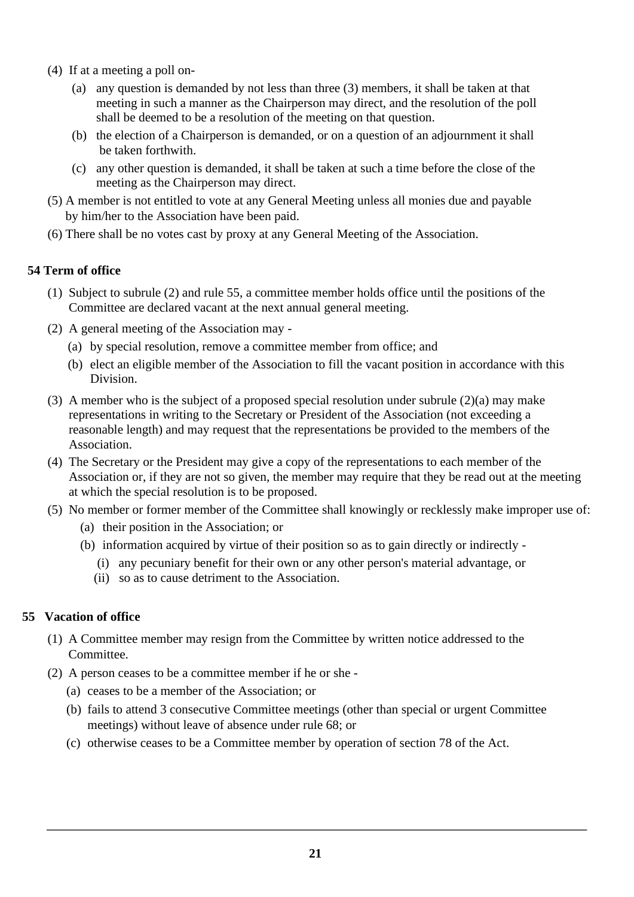- (4) If at a meeting a poll on-
	- (a) any question is demanded by not less than three (3) members, it shall be taken at that meeting in such a manner as the Chairperson may direct, and the resolution of the poll shall be deemed to be a resolution of the meeting on that question.
	- (b) the election of a Chairperson is demanded, or on a question of an adjournment it shall be taken forthwith.
	- (c) any other question is demanded, it shall be taken at such a time before the close of the meeting as the Chairperson may direct.
- (5) A member is not entitled to vote at any General Meeting unless all monies due and payable by him/her to the Association have been paid.
- (6) There shall be no votes cast by proxy at any General Meeting of the Association.

# **54 Term of office**

- (1) Subject to subrule (2) and rule 55, a committee member holds office until the positions of the Committee are declared vacant at the next annual general meeting.
- (2) A general meeting of the Association may
	- (a) by special resolution, remove a committee member from office; and
	- (b) elect an eligible member of the Association to fill the vacant position in accordance with this Division.
- (3) A member who is the subject of a proposed special resolution under subrule (2)(a) may make representations in writing to the Secretary or President of the Association (not exceeding a reasonable length) and may request that the representations be provided to the members of the Association.
- (4) The Secretary or the President may give a copy of the representations to each member of the Association or, if they are not so given, the member may require that they be read out at the meeting at which the special resolution is to be proposed.
- (5) No member or former member of the Committee shall knowingly or recklessly make improper use of:
	- (a) their position in the Association; or
	- (b) information acquired by virtue of their position so as to gain directly or indirectly
		- (i) any pecuniary benefit for their own or any other person's material advantage, or
		- (ii) so as to cause detriment to the Association.

# **55 Vacation of office**

- (1) A Committee member may resign from the Committee by written notice addressed to the Committee.
- (2) A person ceases to be a committee member if he or she
	- (a) ceases to be a member of the Association; or
	- (b) fails to attend 3 consecutive Committee meetings (other than special or urgent Committee meetings) without leave of absence under rule 68; or
	- (c) otherwise ceases to be a Committee member by operation of section 78 of the Act.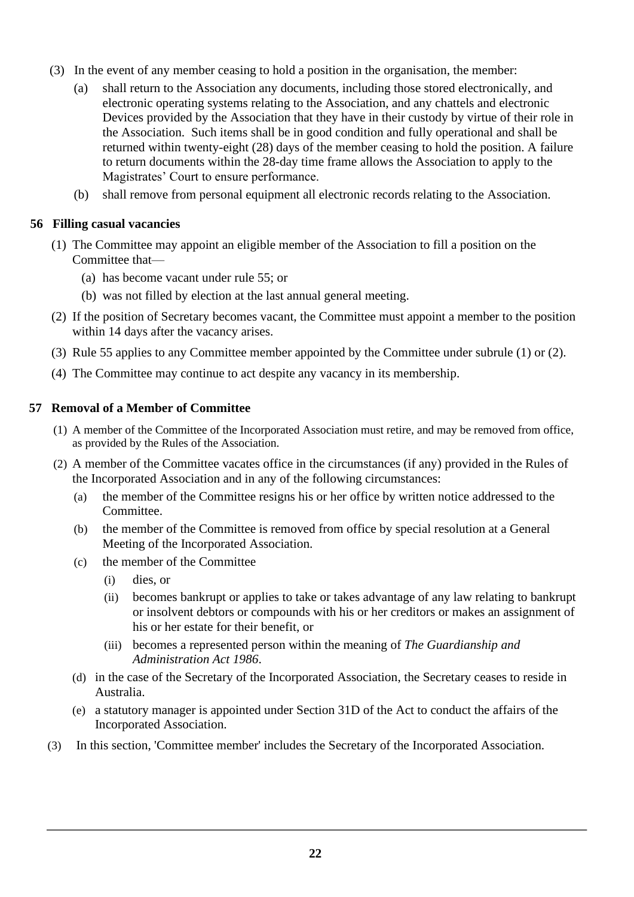- (3) In the event of any member ceasing to hold a position in the organisation, the member:
	- (a) shall return to the Association any documents, including those stored electronically, and electronic operating systems relating to the Association, and any chattels and electronic Devices provided by the Association that they have in their custody by virtue of their role in the Association. Such items shall be in good condition and fully operational and shall be returned within twenty-eight (28) days of the member ceasing to hold the position. A failure to return documents within the 28-day time frame allows the Association to apply to the Magistrates' Court to ensure performance.
	- (b) shall remove from personal equipment all electronic records relating to the Association.

# **56 Filling casual vacancies**

- (1) The Committee may appoint an eligible member of the Association to fill a position on the Committee that—
	- (a) has become vacant under rule 55; or
	- (b) was not filled by election at the last annual general meeting.
- (2) If the position of Secretary becomes vacant, the Committee must appoint a member to the position within 14 days after the vacancy arises.
- (3) Rule 55 applies to any Committee member appointed by the Committee under subrule (1) or (2).
- (4) The Committee may continue to act despite any vacancy in its membership.

# **57 Removal of a Member of Committee**

- (1) A member of the Committee of the Incorporated Association must retire, and may be removed from office, as provided by the Rules of the Association.
- (2) A member of the Committee vacates office in the circumstances (if any) provided in the Rules of the Incorporated Association and in any of the following circumstances:
	- (a) the member of the Committee resigns his or her office by written notice addressed to the Committee.
	- (b) the member of the Committee is removed from office by special resolution at a General Meeting of the Incorporated Association.
	- (c) the member of the Committee
		- (i) dies, or
		- (ii) becomes bankrupt or applies to take or takes advantage of any law relating to bankrupt or insolvent debtors or compounds with his or her creditors or makes an assignment of his or her estate for their benefit, or
		- (iii) becomes a represented person within the meaning of *The Guardianship and Administration Act 1986*.
	- (d) in the case of the Secretary of the Incorporated Association, the Secretary ceases to reside in Australia.
	- (e) a statutory manager is appointed under Section 31D of the Act to conduct the affairs of the Incorporated Association.
- (3) In this section, 'Committee member' includes the Secretary of the Incorporated Association.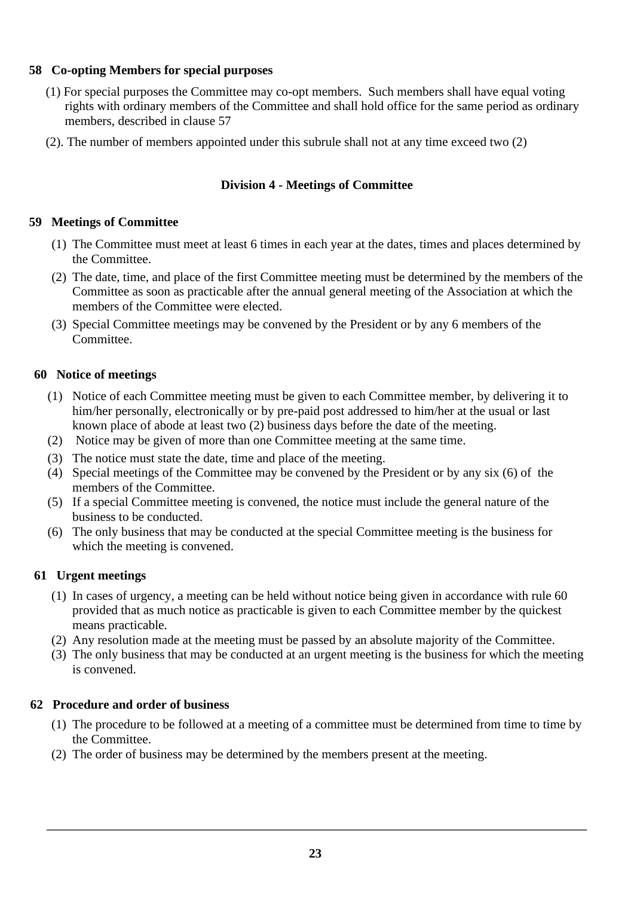# **58 Co-opting Members for special purposes**

- (1) For special purposes the Committee may co-opt members. Such members shall have equal voting rights with ordinary members of the Committee and shall hold office for the same period as ordinary members, described in clause 57
- (2). The number of members appointed under this subrule shall not at any time exceed two (2)

# **Division 4 - Meetings of Committee**

# **59 Meetings of Committee**

- (1) The Committee must meet at least 6 times in each year at the dates, times and places determined by the Committee.
- (2) The date, time, and place of the first Committee meeting must be determined by the members of the Committee as soon as practicable after the annual general meeting of the Association at which the members of the Committee were elected.
- (3) Special Committee meetings may be convened by the President or by any 6 members of the Committee.

# **60 Notice of meetings**

- (1) Notice of each Committee meeting must be given to each Committee member, by delivering it to him/her personally, electronically or by pre-paid post addressed to him/her at the usual or last known place of abode at least two (2) business days before the date of the meeting.
- (2) Notice may be given of more than one Committee meeting at the same time.
- (3) The notice must state the date, time and place of the meeting.
- (4) Special meetings of the Committee may be convened by the President or by any six (6) of the members of the Committee.
- (5) If a special Committee meeting is convened, the notice must include the general nature of the business to be conducted.
- (6) The only business that may be conducted at the special Committee meeting is the business for which the meeting is convened.

# **61 Urgent meetings**

- (1) In cases of urgency, a meeting can be held without notice being given in accordance with rule 60 provided that as much notice as practicable is given to each Committee member by the quickest means practicable.
- (2) Any resolution made at the meeting must be passed by an absolute majority of the Committee.
- (3) The only business that may be conducted at an urgent meeting is the business for which the meeting is convened.

# **62 Procedure and order of business**

- (1) The procedure to be followed at a meeting of a committee must be determined from time to time by the Committee.
- (2) The order of business may be determined by the members present at the meeting.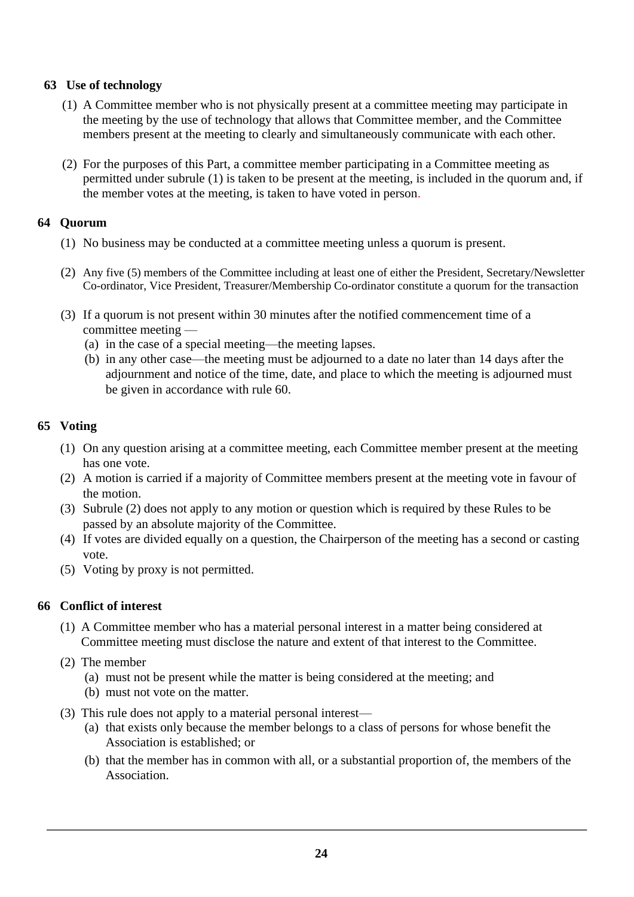# **63 Use of technology**

- (1) A Committee member who is not physically present at a committee meeting may participate in the meeting by the use of technology that allows that Committee member, and the Committee members present at the meeting to clearly and simultaneously communicate with each other.
- (2) For the purposes of this Part, a committee member participating in a Committee meeting as permitted under subrule (1) is taken to be present at the meeting, is included in the quorum and, if the member votes at the meeting, is taken to have voted in person.

# **64 Quorum**

- (1) No business may be conducted at a committee meeting unless a quorum is present.
- (2) Any five (5) members of the Committee including at least one of either the President, Secretary/Newsletter Co-ordinator, Vice President, Treasurer/Membership Co-ordinator constitute a quorum for the transaction
- (3) If a quorum is not present within 30 minutes after the notified commencement time of a committee meeting —
	- (a) in the case of a special meeting—the meeting lapses.
	- (b) in any other case—the meeting must be adjourned to a date no later than 14 days after the adjournment and notice of the time, date, and place to which the meeting is adjourned must be given in accordance with rule 60.

# **65 Voting**

- (1) On any question arising at a committee meeting, each Committee member present at the meeting has one vote.
- (2) A motion is carried if a majority of Committee members present at the meeting vote in favour of the motion.
- (3) Subrule (2) does not apply to any motion or question which is required by these Rules to be passed by an absolute majority of the Committee.
- (4) If votes are divided equally on a question, the Chairperson of the meeting has a second or casting vote.
- (5) Voting by proxy is not permitted.

# **66 Conflict of interest**

- (1) A Committee member who has a material personal interest in a matter being considered at Committee meeting must disclose the nature and extent of that interest to the Committee.
- (2) The member
	- (a) must not be present while the matter is being considered at the meeting; and
	- (b) must not vote on the matter.
- (3) This rule does not apply to a material personal interest—
	- (a) that exists only because the member belongs to a class of persons for whose benefit the Association is established; or
	- (b) that the member has in common with all, or a substantial proportion of, the members of the Association.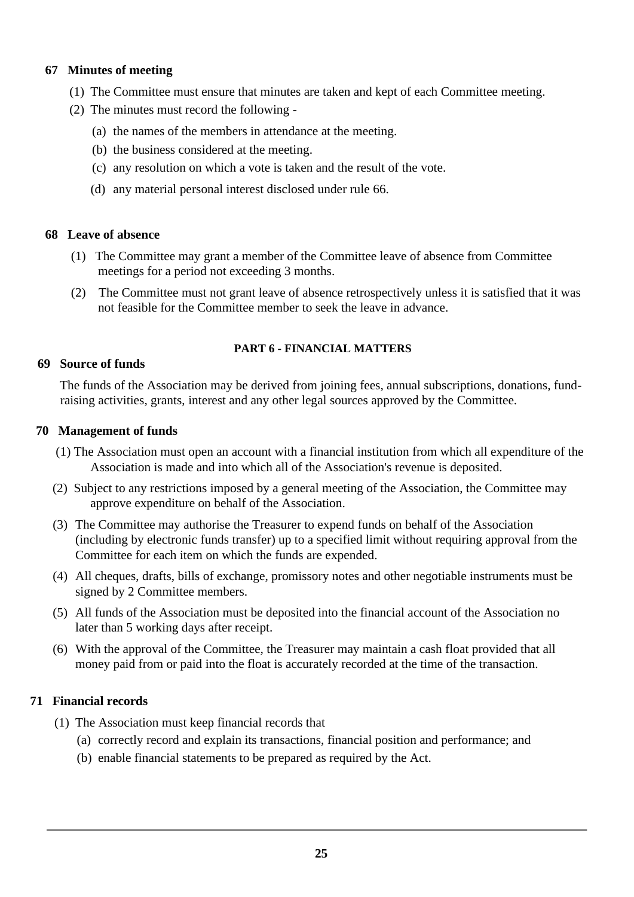# **67 Minutes of meeting**

- (1) The Committee must ensure that minutes are taken and kept of each Committee meeting.
- (2) The minutes must record the following
	- (a) the names of the members in attendance at the meeting.
	- (b) the business considered at the meeting.
	- (c) any resolution on which a vote is taken and the result of the vote.
	- (d) any material personal interest disclosed under rule 66.

## **68 Leave of absence**

- (1) The Committee may grant a member of the Committee leave of absence from Committee meetings for a period not exceeding 3 months.
- (2) The Committee must not grant leave of absence retrospectively unless it is satisfied that it was not feasible for the Committee member to seek the leave in advance.

## **PART 6 - FINANCIAL MATTERS**

#### **69 Source of funds**

The funds of the Association may be derived from joining fees, annual subscriptions, donations, fundraising activities, grants, interest and any other legal sources approved by the Committee.

## **70 Management of funds**

- (1) The Association must open an account with a financial institution from which all expenditure of the Association is made and into which all of the Association's revenue is deposited.
- (2) Subject to any restrictions imposed by a general meeting of the Association, the Committee may approve expenditure on behalf of the Association.
- (3) The Committee may authorise the Treasurer to expend funds on behalf of the Association (including by electronic funds transfer) up to a specified limit without requiring approval from the Committee for each item on which the funds are expended.
- (4) All cheques, drafts, bills of exchange, promissory notes and other negotiable instruments must be signed by 2 Committee members.
- (5) All funds of the Association must be deposited into the financial account of the Association no later than 5 working days after receipt.
- (6) With the approval of the Committee, the Treasurer may maintain a cash float provided that all money paid from or paid into the float is accurately recorded at the time of the transaction.

# **71 Financial records**

- (1) The Association must keep financial records that
	- (a) correctly record and explain its transactions, financial position and performance; and
	- (b) enable financial statements to be prepared as required by the Act.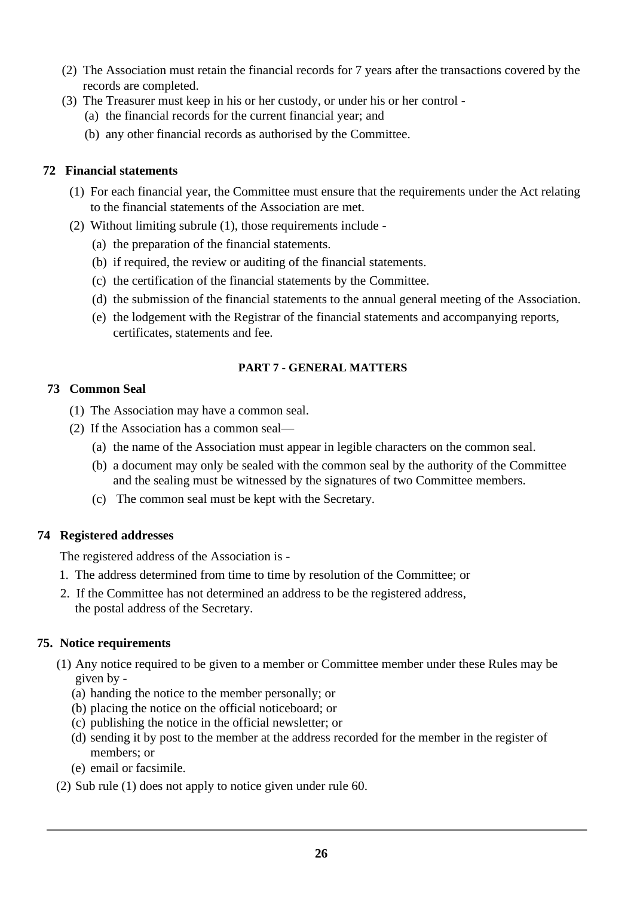- (2) The Association must retain the financial records for 7 years after the transactions covered by the records are completed.
- (3) The Treasurer must keep in his or her custody, or under his or her control
	- (a) the financial records for the current financial year; and
	- (b) any other financial records as authorised by the Committee.

# **72 Financial statements**

- (1) For each financial year, the Committee must ensure that the requirements under the Act relating to the financial statements of the Association are met.
- (2) Without limiting subrule (1), those requirements include
	- (a) the preparation of the financial statements.
	- (b) if required, the review or auditing of the financial statements.
	- (c) the certification of the financial statements by the Committee.
	- (d) the submission of the financial statements to the annual general meeting of the Association.
	- (e) the lodgement with the Registrar of the financial statements and accompanying reports, certificates, statements and fee.

# **PART 7 - GENERAL MATTERS**

# **73 Common Seal**

- (1) The Association may have a common seal.
- (2) If the Association has a common seal—
	- (a) the name of the Association must appear in legible characters on the common seal.
	- (b) a document may only be sealed with the common seal by the authority of the Committee and the sealing must be witnessed by the signatures of two Committee members.
	- (c) The common seal must be kept with the Secretary.

# **74 Registered addresses**

The registered address of the Association is -

- 1. The address determined from time to time by resolution of the Committee; or
- 2. If the Committee has not determined an address to be the registered address, the postal address of the Secretary.

# **75. Notice requirements**

- (1) Any notice required to be given to a member or Committee member under these Rules may be given by -
	- (a) handing the notice to the member personally; or
	- (b) placing the notice on the official noticeboard; or
	- (c) publishing the notice in the official newsletter; or
	- (d) sending it by post to the member at the address recorded for the member in the register of members; or
	- (e) email or facsimile.
- (2) Sub rule (1) does not apply to notice given under rule 60.